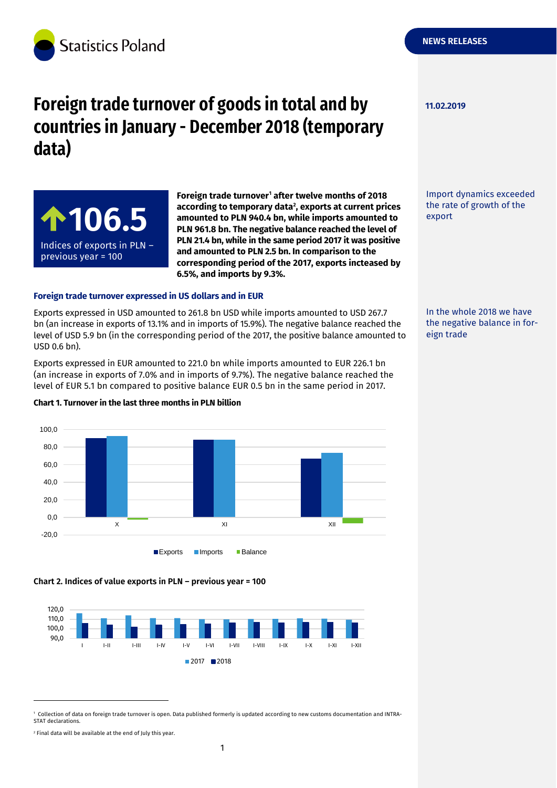

# **Foreign trade turnover of goods in total and by countries in January - December 2018 (temporary data)**



**Foreign trade turnover<sup>1</sup> after twelve months of 2018 according to temporary data<sup>2</sup> , exports at current prices amounted to PLN 940.4 bn, while imports amounted to PLN 961.8 bn. The negative balance reached the level of PLN 21.4 bn, while in the same period 2017 it was positive and amounted to PLN 2.5 bn. In comparison to the corresponding period of the 2017, exports incteased by 6.5%, and imports by 9.3%.**

#### **Foreign trade turnover expressed in US dollars and in EUR**

Exports expressed in USD amounted to 261.8 bn USD while imports amounted to USD 267.7 bn (an increase in exports of 13.1% and in imports of 15.9%). The negative balance reached the level of USD 5.9 bn (in the corresponding period of the 2017, the positive balance amounted to USD 0.6 bn).

Exports expressed in EUR amounted to 221.0 bn while imports amounted to EUR 226.1 bn (an increase in exports of 7.0% and in imports of 9.7%). The negative balance reached the level of EUR 5.1 bn compared to positive balance EUR 0.5 bn in the same period in 2017.

-20,0 0,0 20,0 40,0 60,0 80,0 100,0 X XI XII **Exports** Imports Balance

#### **Chart 1. Turnover in the last three months in PLN billion**

## **Chart 2. Indices of value exports in PLN – previous year = 100**



1 Collection of data on foreign trade turnover is open. Data published formerly is updated according to new customs documentation and INTRA-STAT declarations.

-



**11.02.2019**

Import dynamics exceeded the rate of growth of the export

In the whole 2018 we have the negative balance in foreign trade

<sup>2</sup> Final data will be available at the end of July this year.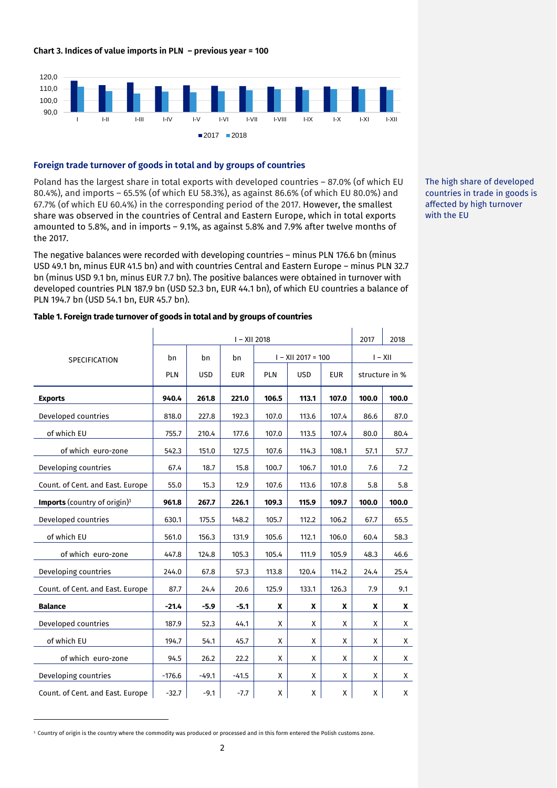#### **Chart 3. Indices of value imports in PLN – previous year = 100**



#### **Foreign trade turnover of goods in total and by groups of countries**

Poland has the largest share in total exports with developed countries - 87.0% (of which EU 80.4%), and imports – 65.5% (of which EU 58.3%), as against 86.6% (of which EU 80.0%) and 67.7% (of which EU 60.4%) in the corresponding period of the 2017. However, the smallest share was observed in the countries of Central and Eastern Europe, which in total exports amounted to 5.8%, and in imports – 9.1%, as against 5.8% and 7.9% after twelve months of the 2017.

The negative balances were recorded with developing countries – minus PLN 176.6 bn (minus USD 49.1 bn, minus EUR 41.5 bn) and with countries Central and Eastern Europe – minus PLN 32.7 bn (minus USD 9.1 bn, minus EUR 7.7 bn). The positive balances were obtained in turnover with developed countries PLN 187.9 bn (USD 52.3 bn, EUR 44.1 bn), of which EU countries a balance of PLN 194.7 bn (USD 54.1 bn, EUR 45.7 bn).

SPECIFICATION I – XII 2018 2017 2018 bn PLN bn USD bn EUR  $I - XII$  2017 = 100  $I - XII$ PLN | USD | EUR | structure in % **Exports 940.4 261.8 221.0 106.5 113.1 107.0 100.0 100.0** Developed countries 1818.0 227.8 192.3 107.0 113.6 107.4 86.6 87.0 of which EU 1755.7 | 210.4 | 177.6 | 107.0 | 113.5 | 107.4 | 80.0 | 80.4 of which euro-zone  $\begin{vmatrix} 542.3 & 151.0 & 127.5 & 107.6 & 114.3 & 108.1 & 57.1 \end{vmatrix}$  57.7 Developing countries  $\begin{vmatrix} 67.4 & 18.7 & 15.8 & 100.7 & 106.7 & 101.0 & 7.6 & 7.2 \end{vmatrix}$ Count. of Cent. and East. Europe | 55.0 | 15.3 | 12.9 | 107.6 | 113.6 | 107.8 | 5.8 | 5.8 **Imports** (country of origin)<sup>3</sup> **961.8 267.7 226.1 109.3 115.9 109.7 100.0 100.0** Developed countries 1980.1 | 630.1 | 175.5 | 148.2 | 105.7 | 112.2 | 106.2 | 67.7 | 65.5 of which EU 361.0 | 561.0 | 156.3 | 131.9 | 105.6 | 112.1 | 106.0 | 60.4 | 58.3 of which euro-zone 447.8 124.8 105.3 105.4 111.9 105.9 48.3 46.6 Developing countries 244.0 67.8 57.3 113.8 120.4 114.2 24.4 25.4 Count. of Cent. and East. Europe 87.7 24.4 20.6 125.9 133.1 126.3 7.9 9.1 **Balance -21.4 -5.9 -5.1 X X X X X** Developed countries  $\begin{vmatrix} 187.9 & 52.3 & 44.1 & X & X & X \end{vmatrix}$ of which EU | 194.7 | 54.1 | 45.7 | X | X | X | X | X of which euro-zone  $94.5$  26.2 22.2 X X X X X X Developing countries  $\begin{vmatrix} -176.6 & -49.1 & -41.5 & \times & \times & \times \end{vmatrix}$ Count. of Cent. and East. Europe  $\begin{vmatrix} -32.7 & -9.1 & -7.7 & x & x \end{vmatrix}$  x x x x x x

**Table 1. Foreign trade turnover of goods in total and by groups of countries**

The high share of developed countries in trade in goods is affected by high turnover with the EU

-

<sup>&</sup>lt;sup>3</sup> Country of origin is the country where the commodity was produced or processed and in this form entered the Polish customs zone.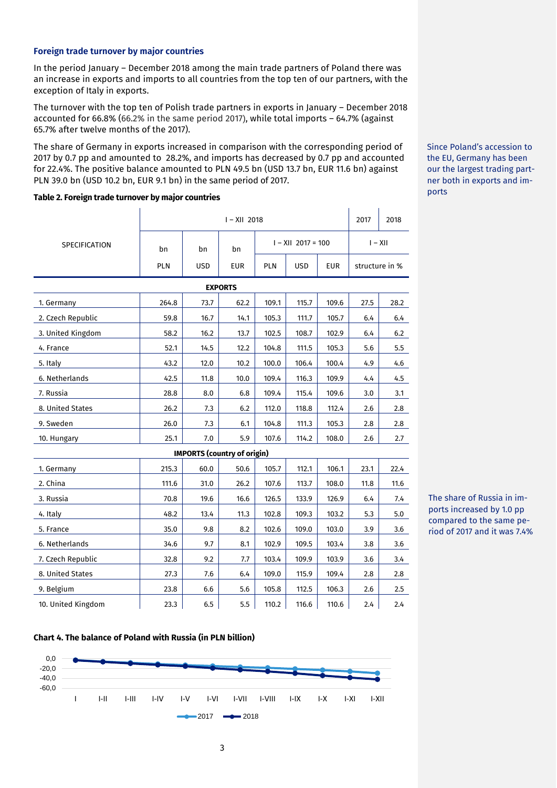#### **Foreign trade turnover by major countries**

In the period January – December 2018 among the main trade partners of Poland there was an increase in exports and imports to all countries from the top ten of our partners, with the exception of Italy in exports.

The turnover with the top ten of Polish trade partners in exports in January – December 2018 accounted for 66.8% (66.2% in the same period 2017), while total imports – 64.7% (against 65.7% after twelve months of the 2017).

The share of Germany in exports increased in comparison with the corresponding period of 2017 by 0.7 pp and amounted to 28.2%, and imports has decreased by 0.7 pp and accounted for 22.4%. The positive balance amounted to PLN 49.5 bn (USD 13.7 bn, EUR 11.6 bn) against PLN 39.0 bn (USD 10.2 bn, EUR 9.1 bn) in the same period of 2017.

#### **Table 2. Foreign trade turnover by major countries**

|                                    | $I - XII 2018$ |            |      |       |                      |            |                | 2018 |  |  |
|------------------------------------|----------------|------------|------|-------|----------------------|------------|----------------|------|--|--|
| SPECIFICATION                      | bn             | bn         |      |       | $I - XII$ 2017 = 100 | $I - XII$  |                |      |  |  |
|                                    | <b>PLN</b>     | <b>USD</b> | EUR  | PLN   | <b>USD</b>           | <b>EUR</b> | structure in % |      |  |  |
| <b>EXPORTS</b>                     |                |            |      |       |                      |            |                |      |  |  |
| 1. Germany                         | 264.8          | 73.7       | 62.2 | 109.1 | 115.7                | 109.6      | 27.5           | 28.2 |  |  |
| 2. Czech Republic                  | 59.8           | 16.7       | 14.1 | 105.3 | 111.7                | 105.7      | 6.4            | 6.4  |  |  |
| 3. United Kingdom                  | 58.2           | 16.2       | 13.7 | 102.5 | 108.7                | 102.9      | 6.4            | 6.2  |  |  |
| 4. France                          | 52.1           | 14.5       | 12.2 | 104.8 | 111.5                | 105.3      | 5.6            | 5.5  |  |  |
| 5. Italy                           | 43.2           | 12.0       | 10.2 | 100.0 | 106.4                | 100.4      | 4.9            | 4.6  |  |  |
| 6. Netherlands                     | 42.5           | 11.8       | 10.0 | 109.4 | 116.3                | 109.9      | 4.4            | 4.5  |  |  |
| 7. Russia                          | 28.8           | 8.0        | 6.8  | 109.4 | 115.4                | 109.6      | 3.0            | 3.1  |  |  |
| 8. United States                   | 26.2           | 7.3        | 6.2  | 112.0 | 118.8                | 112.4      | 2.6            | 2.8  |  |  |
| 9. Sweden                          | 26.0           | 7.3        | 6.1  | 104.8 | 111.3                | 105.3      | 2.8            | 2.8  |  |  |
| 10. Hungary                        | 25.1           | 7.0        | 5.9  | 107.6 | 114.2                | 108.0      | 2.6            | 2.7  |  |  |
| <b>IMPORTS (country of origin)</b> |                |            |      |       |                      |            |                |      |  |  |
| 1. Germany                         | 215.3          | 60.0       | 50.6 | 105.7 | 112.1                | 106.1      | 23.1           | 22.4 |  |  |
| 2. China                           | 111.6          | 31.0       | 26.2 | 107.6 | 113.7                | 108.0      | 11.8           | 11.6 |  |  |
| 3. Russia                          | 70.8           | 19.6       | 16.6 | 126.5 | 133.9                | 126.9      | 6.4            | 7.4  |  |  |
| 4. Italy                           | 48.2           | 13.4       | 11.3 | 102.8 | 109.3                | 103.2      | 5.3            | 5.0  |  |  |
| 5. France                          | 35.0           | 9.8        | 8.2  | 102.6 | 109.0                | 103.0      | 3.9            | 3.6  |  |  |
| 6. Netherlands                     | 34.6           | 9.7        | 8.1  | 102.9 | 109.5                | 103.4      | 3.8            | 3.6  |  |  |
| 7. Czech Republic                  | 32.8           | 9.2        | 7.7  | 103.4 | 109.9                | 103.9      | 3.6            | 3.4  |  |  |
| 8. United States                   | 27.3           | 7.6        | 6.4  | 109.0 | 115.9                | 109.4      | 2.8            | 2.8  |  |  |
| 9. Belgium                         | 23.8           | 6.6        | 5.6  | 105.8 | 112.5                | 106.3      | 2.6            | 2.5  |  |  |
| 10. United Kingdom                 | 23.3           | 6.5        | 5.5  | 110.2 | 116.6                | 110.6      | 2.4            | 2.4  |  |  |

### Since Poland's accession to the EU, Germany has been our the largest trading partner both in exports and imports

The share of Russia in imports increased by 1.0 pp compared to the same period of 2017 and it was 7.4%



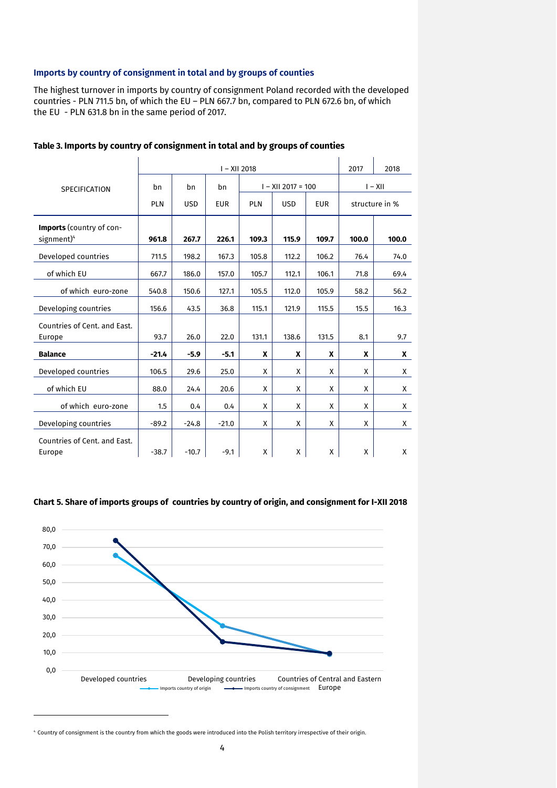## **Imports by country of consignment in total and by groups of counties**

The highest turnover in imports by country of consignment Poland recorded with the developed countries - PLN 711.5 bn, of which the EU – PLN 667.7 bn, compared to PLN 672.6 bn, of which the EU - PLN 631.8 bn in the same period of 2017.

|                                                           | $I - XII 2018$                                                                   |         |         |       |                      |       |           | 2018  |
|-----------------------------------------------------------|----------------------------------------------------------------------------------|---------|---------|-------|----------------------|-------|-----------|-------|
| SPECIFICATION                                             | bn                                                                               | bn      | bn      |       | $I - XII 2017 = 100$ |       | $I - XII$ |       |
|                                                           | <b>USD</b><br><b>PLN</b><br><b>EUR</b><br><b>PLN</b><br><b>USD</b><br><b>EUR</b> |         |         |       | structure in %       |       |           |       |
| <b>Imports</b> (country of con-<br>signment) <sup>4</sup> | 961.8                                                                            | 267.7   | 226.1   | 109.3 | 115.9                | 109.7 | 100.0     | 100.0 |
| Developed countries                                       | 711.5                                                                            | 198.2   | 167.3   | 105.8 | 112.2                | 106.2 | 76.4      | 74.0  |
| of which EU                                               | 667.7                                                                            | 186.0   | 157.0   | 105.7 | 112.1                | 106.1 | 71.8      | 69.4  |
| of which euro-zone                                        | 540.8                                                                            | 150.6   | 127.1   | 105.5 | 112.0                | 105.9 | 58.2      | 56.2  |
| Developing countries                                      | 156.6                                                                            | 43.5    | 36.8    | 115.1 | 121.9                | 115.5 | 15.5      | 16.3  |
| Countries of Cent. and East.<br>Europe                    | 93.7                                                                             | 26.0    | 22.0    | 131.1 | 138.6                | 131.5 | 8.1       | 9.7   |
| <b>Balance</b>                                            | $-21.4$                                                                          | $-5.9$  | $-5.1$  | X     | X                    | X     | X         | X     |
| Developed countries                                       | 106.5                                                                            | 29.6    | 25.0    | X     | X                    | X     | X         | X     |
| of which EU                                               | 88.0                                                                             | 24.4    | 20.6    | X     | X                    | X     | X         | X     |
| of which euro-zone                                        | 1.5                                                                              | 0.4     | 0.4     | Χ     | X                    | X     | X         | X     |
| Developing countries                                      | $-89.2$                                                                          | $-24.8$ | $-21.0$ | X     | X                    | X     | X         | X     |
| Countries of Cent. and East.<br>Europe                    | $-38.7$                                                                          | $-10.7$ | $-9.1$  | Χ     | X                    | X     | X         | X     |

## **Table 3. Imports by country of consignment in total and by groups of counties**





<sup>4</sup> Country of consignment is the country from which the goods were introduced into the Polish territory irrespective of their origin.

-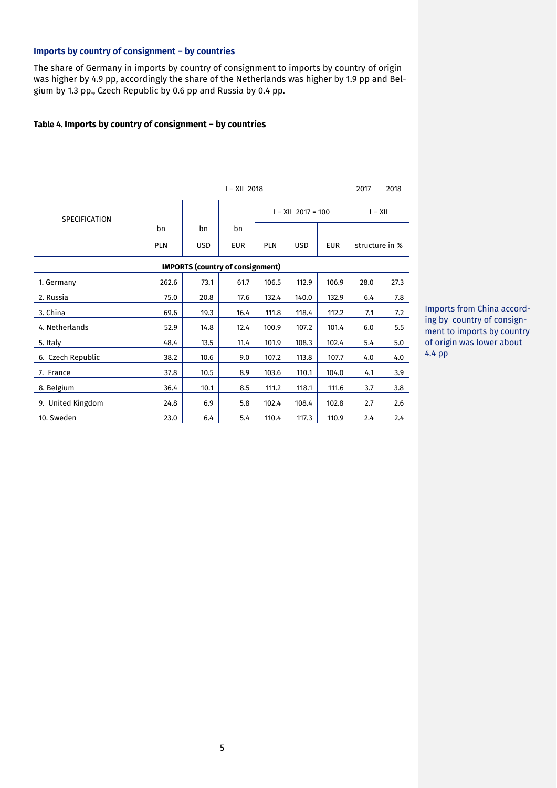# **Imports by country of consignment – by countries**

The share of Germany in imports by country of consignment to imports by country of origin was higher by 4.9 pp, accordingly the share of the Netherlands was higher by 1.9 pp and Belgium by 1.3 pp., Czech Republic by 0.6 pp and Russia by 0.4 pp.

## **Table 4. Imports by country of consignment – by countries**

|                                         | $I - XII 2018$ |            |            |                      |            |            |                | 2018 |  |  |
|-----------------------------------------|----------------|------------|------------|----------------------|------------|------------|----------------|------|--|--|
| <b>SPECIFICATION</b>                    |                |            |            | $I - XII$ 2017 = 100 |            |            | $I - XII$      |      |  |  |
|                                         | bn             | bn         | bn         |                      |            |            |                |      |  |  |
|                                         | PLN            | <b>USD</b> | <b>EUR</b> | <b>PLN</b>           | <b>USD</b> | <b>EUR</b> | structure in % |      |  |  |
| <b>IMPORTS (country of consignment)</b> |                |            |            |                      |            |            |                |      |  |  |
| 1. Germany                              | 262.6          | 73.1       | 61.7       | 106.5                | 112.9      | 106.9      | 28.0           | 27.3 |  |  |
| 2. Russia                               | 75.0           | 20.8       | 17.6       | 132.4                | 140.0      | 132.9      | 6.4            | 7.8  |  |  |
| 3. China                                | 69.6           | 19.3       | 16.4       | 111.8                | 118.4      | 112.2      | 7.1            | 7.2  |  |  |
| 4. Netherlands                          | 52.9           | 14.8       | 12.4       | 100.9                | 107.2      | 101.4      | 6.0            | 5.5  |  |  |
| 5. Italy                                | 48.4           | 13.5       | 11.4       | 101.9                | 108.3      | 102.4      | 5.4            | 5.0  |  |  |
| 6. Czech Republic                       | 38.2           | 10.6       | 9.0        | 107.2                | 113.8      | 107.7      | 4.0            | 4.0  |  |  |
| 7. France                               | 37.8           | 10.5       | 8.9        | 103.6                | 110.1      | 104.0      | 4.1            | 3.9  |  |  |
| 8. Belgium                              | 36.4           | 10.1       | 8.5        | 111.2                | 118.1      | 111.6      | 3.7            | 3.8  |  |  |
| 9. United Kingdom                       | 24.8           | 6.9        | 5.8        | 102.4                | 108.4      | 102.8      | 2.7            | 2.6  |  |  |
| 10. Sweden                              | 23.0           | 6.4        | 5.4        | 110.4                | 117.3      | 110.9      | 2.4            | 2.4  |  |  |

Imports from China according by country of consignment to imports by country of origin was lower about 4.4 pp